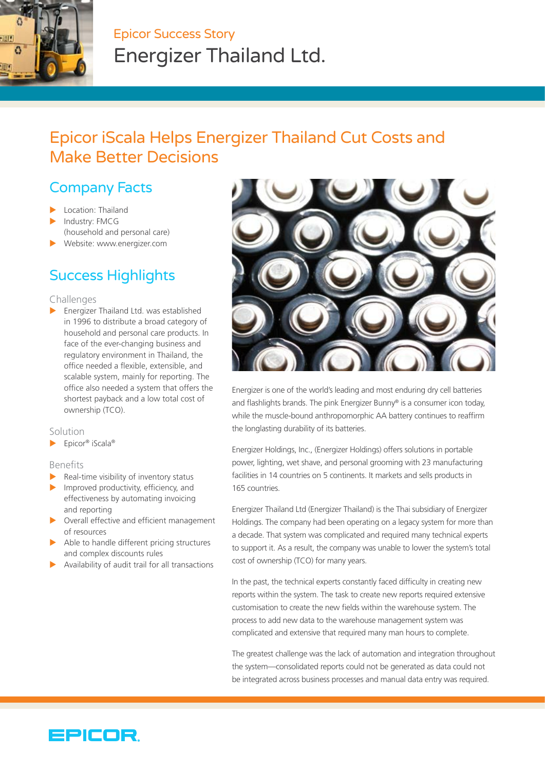

# Epicor Success Story Energizer Thailand Ltd.

# Epicor iScala Helps Energizer Thailand Cut Costs and Make Better Decisions

## Company Facts

- Location: Thailand
- Industry: FMCG (household and personal care)
- Website: www.energizer.com

## Success Highlights

#### Challenges

 $\blacktriangleright$  Energizer Thailand Ltd. was established in 1996 to distribute a broad category of household and personal care products. In face of the ever-changing business and regulatory environment in Thailand, the office needed a flexible, extensible, and scalable system, mainly for reporting. The office also needed a system that offers the shortest payback and a low total cost of ownership (TCO).

#### Solution

 $\blacktriangleright$  Epicor® iScala®

Benefits

- Real-time visibility of inventory status
- $\blacktriangleright$  Improved productivity, efficiency, and effectiveness by automating invoicing and reporting
- $\triangleright$  Overall effective and efficient management of resources
- $\blacktriangleright$  Able to handle different pricing structures and complex discounts rules
- Availability of audit trail for all transactions



Energizer is one of the world's leading and most enduring dry cell batteries and flashlights brands. The pink Energizer Bunny® is a consumer icon today, while the muscle-bound anthropomorphic AA battery continues to reaffirm the longlasting durability of its batteries.

Energizer Holdings, Inc., (Energizer Holdings) offers solutions in portable power, lighting, wet shave, and personal grooming with 23 manufacturing facilities in 14 countries on 5 continents. It markets and sells products in 165 countries.

Energizer Thailand Ltd (Energizer Thailand) is the Thai subsidiary of Energizer Holdings. The company had been operating on a legacy system for more than a decade. That system was complicated and required many technical experts to support it. As a result, the company was unable to lower the system's total cost of ownership (TCO) for many years.

In the past, the technical experts constantly faced difficulty in creating new reports within the system. The task to create new reports required extensive customisation to create the new fields within the warehouse system. The process to add new data to the warehouse management system was complicated and extensive that required many man hours to complete.

The greatest challenge was the lack of automation and integration throughout the system—consolidated reports could not be generated as data could not be integrated across business processes and manual data entry was required.

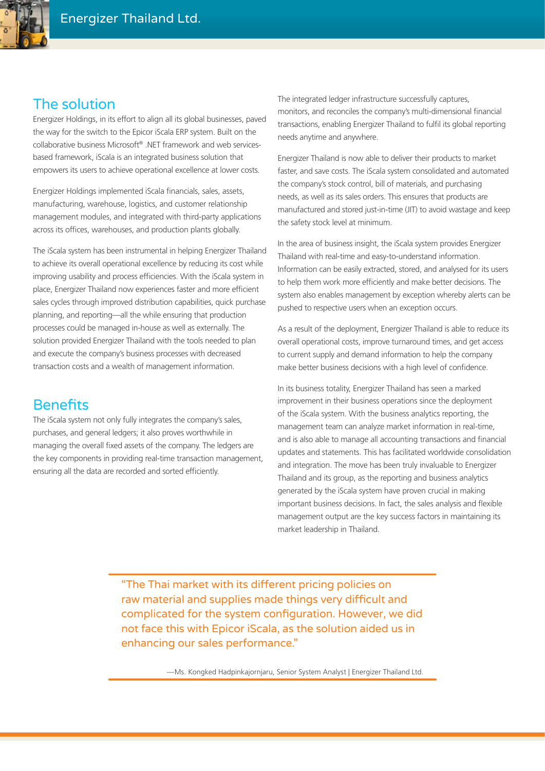

## The solution

Energizer Holdings, in its effort to align all its global businesses, paved the way for the switch to the Epicor iScala ERP system. Built on the collaborative business Microsoft® .NET framework and web servicesbased framework, iScala is an integrated business solution that empowers its users to achieve operational excellence at lower costs.

Energizer Holdings implemented iScala financials, sales, assets, manufacturing, warehouse, logistics, and customer relationship management modules, and integrated with third-party applications across its offices, warehouses, and production plants globally.

The iScala system has been instrumental in helping Energizer Thailand to achieve its overall operational excellence by reducing its cost while improving usability and process efficiencies. With the iScala system in place, Energizer Thailand now experiences faster and more efficient sales cycles through improved distribution capabilities, quick purchase planning, and reporting—all the while ensuring that production processes could be managed in-house as well as externally. The solution provided Energizer Thailand with the tools needed to plan and execute the company's business processes with decreased transaction costs and a wealth of management information.

## **Benefits**

The iScala system not only fully integrates the company's sales, purchases, and general ledgers; it also proves worthwhile in managing the overall fixed assets of the company. The ledgers are the key components in providing real-time transaction management, ensuring all the data are recorded and sorted efficiently.

The integrated ledger infrastructure successfully captures, monitors, and reconciles the company's multi-dimensional financial transactions, enabling Energizer Thailand to fulfil its global reporting needs anytime and anywhere.

Energizer Thailand is now able to deliver their products to market faster, and save costs. The iScala system consolidated and automated the company's stock control, bill of materials, and purchasing needs, as well as its sales orders. This ensures that products are manufactured and stored just-in-time (JIT) to avoid wastage and keep the safety stock level at minimum.

In the area of business insight, the iScala system provides Energizer Thailand with real-time and easy-to-understand information. Information can be easily extracted, stored, and analysed for its users to help them work more efficiently and make better decisions. The system also enables management by exception whereby alerts can be pushed to respective users when an exception occurs.

As a result of the deployment, Energizer Thailand is able to reduce its overall operational costs, improve turnaround times, and get access to current supply and demand information to help the company make better business decisions with a high level of confidence.

In its business totality, Energizer Thailand has seen a marked improvement in their business operations since the deployment of the iScala system. With the business analytics reporting, the management team can analyze market information in real-time, and is also able to manage all accounting transactions and financial updates and statements. This has facilitated worldwide consolidation and integration. The move has been truly invaluable to Energizer Thailand and its group, as the reporting and business analytics generated by the iScala system have proven crucial in making important business decisions. In fact, the sales analysis and flexible management output are the key success factors in maintaining its market leadership in Thailand.

"The Thai market with its different pricing policies on raw material and supplies made things very difficult and complicated for the system configuration. However, we did not face this with Epicor iScala, as the solution aided us in enhancing our sales performance."

—Ms. Kongked Hadpinkajornjaru, Senior System Analyst | Energizer Thailand Ltd.